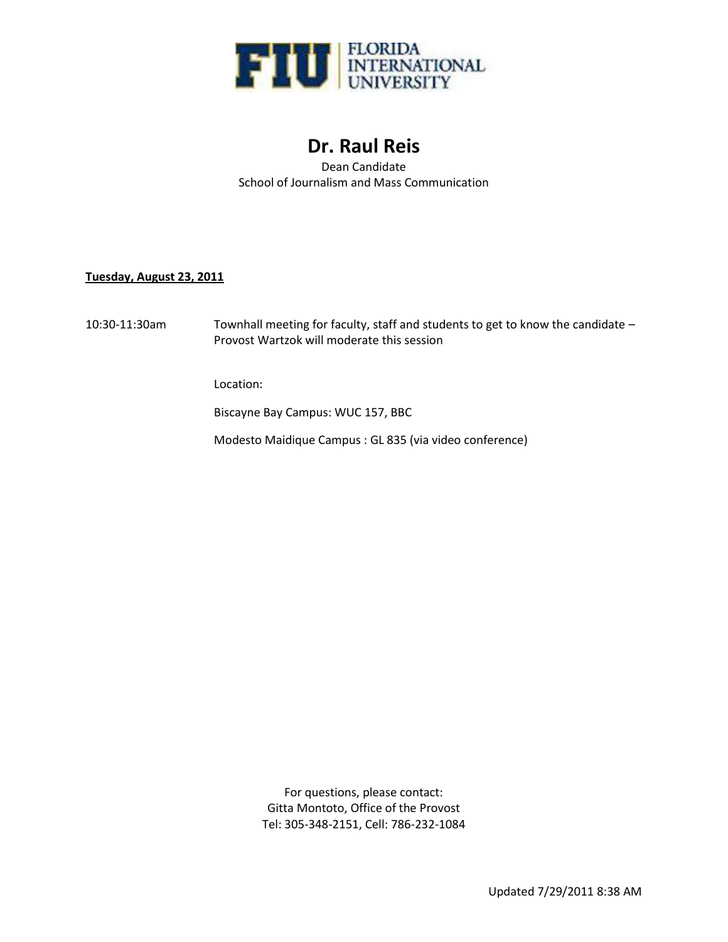

# **Dr. Raul Reis**

Dean Candidate School of Journalism and Mass Communication

## **Tuesday, August 23, 2011**

10:30-11:30am Townhall meeting for faculty, staff and students to get to know the candidate – Provost Wartzok will moderate this session

Location:

Biscayne Bay Campus: WUC 157, BBC

Modesto Maidique Campus : GL 835 (via video conference)

For questions, please contact: Gitta Montoto, Office of the Provost Tel: 305-348-2151, Cell: 786-232-1084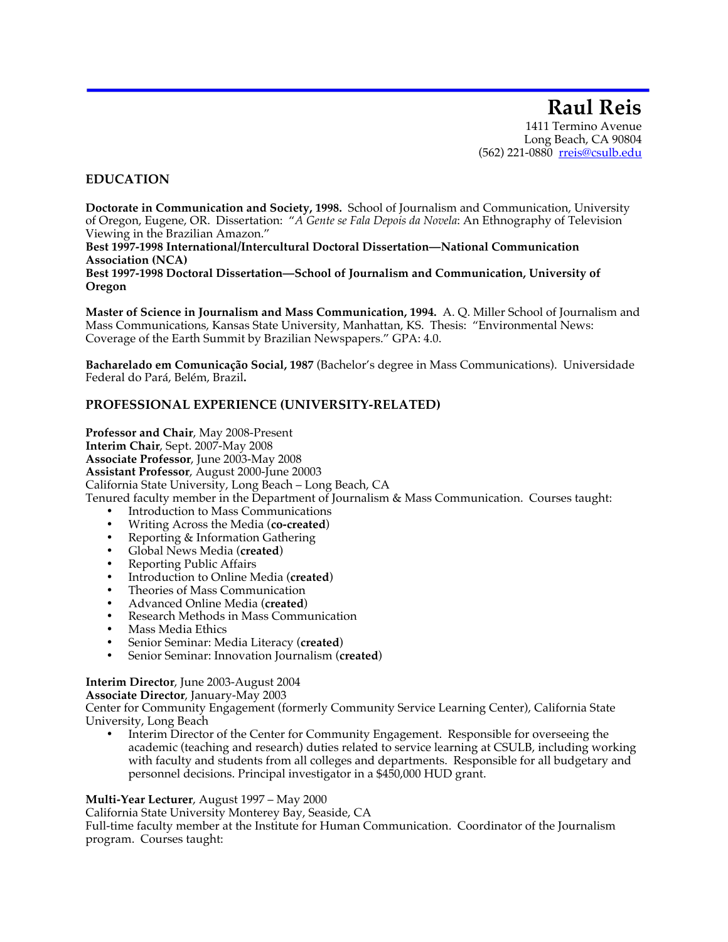**Raul Reis** 1411 Termino Avenue Long Beach, CA 90804 (562) 221-0880 rreis@csulb.edu

## **EDUCATION**

**Doctorate in Communication and Society, 1998.** School of Journalism and Communication, University of Oregon, Eugene, OR. Dissertation: "*A Gente se Fala Depois da Novela*: An Ethnography of Television Viewing in the Brazilian Amazon."

**Best 1997-1998 International/Intercultural Doctoral Dissertation—National Communication Association (NCA)**

**Best 1997-1998 Doctoral Dissertation—School of Journalism and Communication, University of Oregon**

**Master of Science in Journalism and Mass Communication, 1994.** A. Q. Miller School of Journalism and Mass Communications, Kansas State University, Manhattan, KS. Thesis: "Environmental News: Coverage of the Earth Summit by Brazilian Newspapers." GPA: 4.0.

**Bacharelado em Comunicação Social, 1987** (Bachelor's degree in Mass Communications).Universidade Federal do Pará, Belém, Brazil**.**

## **PROFESSIONAL EXPERIENCE (UNIVERSITY-RELATED)**

**Professor and Chair**, May 2008-Present **Interim Chair**, Sept. 2007-May 2008 **Associate Professor**, June 2003-May 2008 **Assistant Professor**, August 2000-June 20003 California State University, Long Beach – Long Beach, CA Tenured faculty member in the Department of Journalism & Mass Communication. Courses taught:

- Introduction to Mass Communications
- Writing Across the Media (**co-created**)
- Reporting & Information Gathering
- Global News Media (**created**)
- Reporting Public Affairs
- Introduction to Online Media (**created**)
- Theories of Mass Communication
- Advanced Online Media (**created**)
- Research Methods in Mass Communication
- Mass Media Ethics
- Senior Seminar: Media Literacy (**created**)
- Senior Seminar: Innovation Journalism (**created**)

#### **Interim Director**, June 2003-August 2004

**Associate Director**, January-May 2003

Center for Community Engagement (formerly Community Service Learning Center), California State University, Long Beach

• Interim Director of the Center for Community Engagement. Responsible for overseeing the academic (teaching and research) duties related to service learning at CSULB, including working with faculty and students from all colleges and departments. Responsible for all budgetary and personnel decisions. Principal investigator in a \$450,000 HUD grant.

#### **Multi-Year Lecturer**, August 1997 – May 2000

California State University Monterey Bay, Seaside, CA

Full-time faculty member at the Institute for Human Communication. Coordinator of the Journalism program. Courses taught: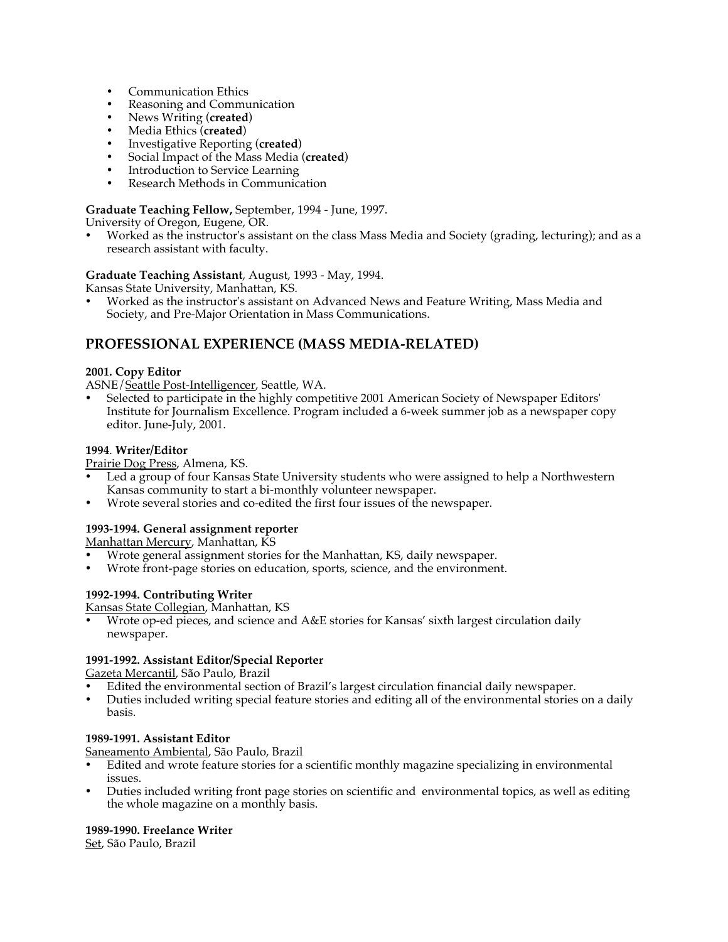- Communication Ethics
- Reasoning and Communication
- News Writing (**created**)
- Media Ethics (**created**)
- Investigative Reporting (**created**)
- Social Impact of the Mass Media (**created**)
- Introduction to Service Learning
- Research Methods in Communication

## **Graduate Teaching Fellow,** September, 1994 - June, 1997.

University of Oregon, Eugene, OR.

• Worked as the instructor's assistant on the class Mass Media and Society (grading, lecturing); and as a research assistant with faculty.

**Graduate Teaching Assistant**, August, 1993 - May, 1994.

Kansas State University, Manhattan, KS.

• Worked as the instructor's assistant on Advanced News and Feature Writing, Mass Media and Society, and Pre-Major Orientation in Mass Communications.

## **PROFESSIONAL EXPERIENCE (MASS MEDIA-RELATED)**

## **2001. Copy Editor**

ASNE/Seattle Post-Intelligencer, Seattle, WA.

• Selected to participate in the highly competitive 2001 American Society of Newspaper Editors' Institute for Journalism Excellence. Program included a 6-week summer job as a newspaper copy editor. June-July, 2001.

## **1994**. **Writer/Editor**

Prairie Dog Press, Almena, KS.

- Led a group of four Kansas State University students who were assigned to help a Northwestern Kansas community to start a bi-monthly volunteer newspaper.
- Wrote several stories and co-edited the first four issues of the newspaper.

## **1993-1994. General assignment reporter**

Manhattan Mercury, Manhattan, KS

- Wrote general assignment stories for the Manhattan, KS, daily newspaper.
- Wrote front-page stories on education, sports, science, and the environment.

## **1992-1994. Contributing Writer**

Kansas State Collegian, Manhattan, KS

• Wrote op-ed pieces, and science and A&E stories for Kansas' sixth largest circulation daily newspaper.

## **1991-1992. Assistant Editor/Special Reporter**

Gazeta Mercantil, São Paulo, Brazil

- Edited the environmental section of Brazil's largest circulation financial daily newspaper.
- Duties included writing special feature stories and editing all of the environmental stories on a daily basis.

## **1989-1991. Assistant Editor**

Saneamento Ambiental, São Paulo, Brazil

- Edited and wrote feature stories for a scientific monthly magazine specializing in environmental issues.
- Duties included writing front page stories on scientific and environmental topics, as well as editing the whole magazine on a monthly basis.

## **1989-1990. Freelance Writer**

Set, São Paulo, Brazil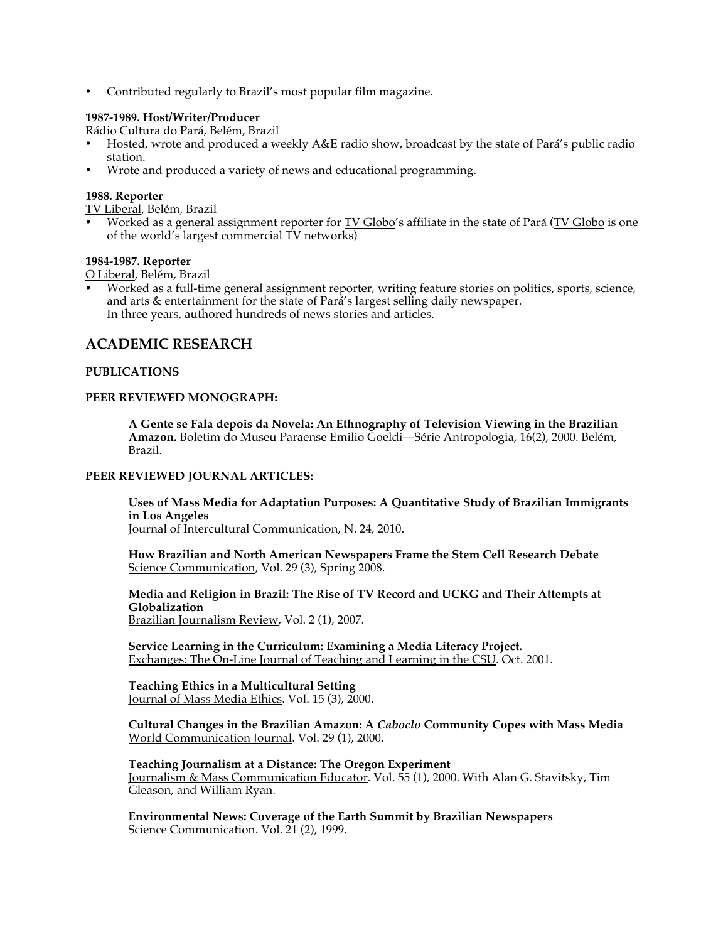• Contributed regularly to Brazil's most popular film magazine.

## **1987-1989. Host/Writer/Producer**

Rádio Cultura do Pará, Belém, Brazil

- Hosted, wrote and produced a weekly A&E radio show, broadcast by the state of Pará's public radio station.
- Wrote and produced a variety of news and educational programming.

## **1988. Reporter**

TV Liberal, Belém, Brazil

Worked as a general assignment reporter for **TV Globo**'s affiliate in the state of Pará (TV Globo is one of the world's largest commercial TV networks)

#### **1984-1987. Reporter**

O Liberal, Belém, Brazil

• Worked as a full-time general assignment reporter, writing feature stories on politics, sports, science, and arts & entertainment for the state of Pará's largest selling daily newspaper. In three years, authored hundreds of news stories and articles.

## **ACADEMIC RESEARCH**

#### **PUBLICATIONS**

#### **PEER REVIEWED MONOGRAPH:**

**A Gente se Fala depois da Novela: An Ethnography of Television Viewing in the Brazilian Amazon.** Boletim do Museu Paraense Emilio Goeldi—Série Antropologia, 16(2), 2000. Belém, Brazil.

#### **PEER REVIEWED JOURNAL ARTICLES:**

**Uses of Mass Media for Adaptation Purposes: A Quantitative Study of Brazilian Immigrants in Los Angeles** Journal of Intercultural Communication, N. 24, 2010.

**How Brazilian and North American Newspapers Frame the Stem Cell Research Debate**  Science Communication, Vol. 29 (3), Spring 2008.

**Media and Religion in Brazil: The Rise of TV Record and UCKG and Their Attempts at Globalization** Brazilian Journalism Review, Vol. 2 (1), 2007.

**Service Learning in the Curriculum: Examining a Media Literacy Project.** Exchanges: The On-Line Journal of Teaching and Learning in the CSU. Oct. 2001.

**Teaching Ethics in a Multicultural Setting** Journal of Mass Media Ethics. Vol. 15 (3), 2000.

**Cultural Changes in the Brazilian Amazon: A** *Caboclo* **Community Copes with Mass Media** World Communication Journal. Vol. 29 (1), 2000.

**Teaching Journalism at a Distance: The Oregon Experiment** Journalism & Mass Communication Educator. Vol. 55 (1), 2000. With Alan G. Stavitsky, Tim Gleason, and William Ryan.

**Environmental News: Coverage of the Earth Summit by Brazilian Newspapers** Science Communication. Vol. 21 (2), 1999.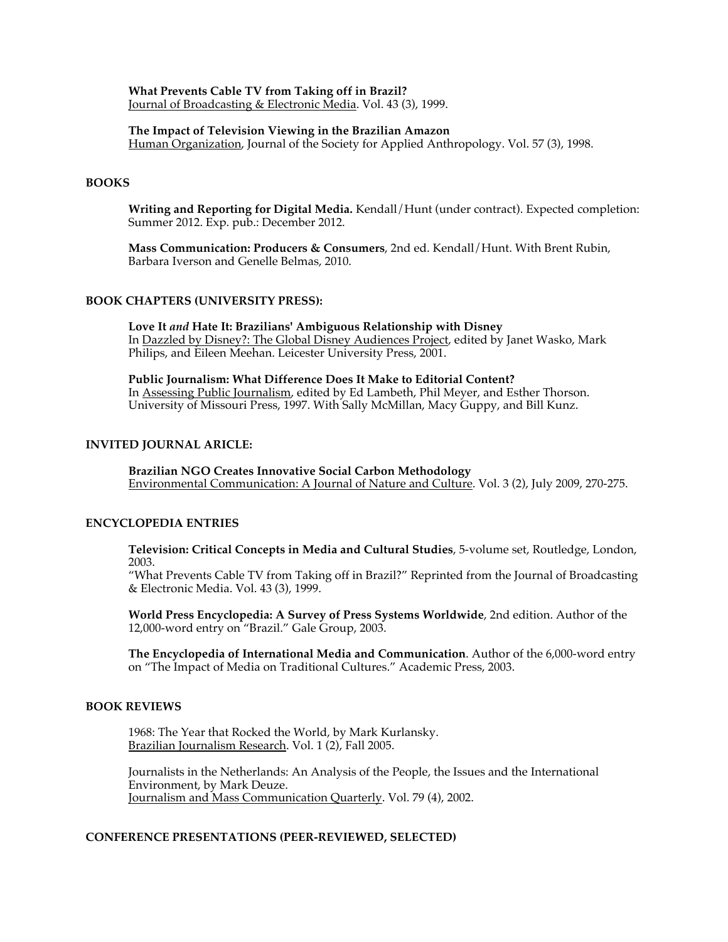**What Prevents Cable TV from Taking off in Brazil?** Journal of Broadcasting & Electronic Media. Vol. 43 (3), 1999.

#### **The Impact of Television Viewing in the Brazilian Amazon**

Human Organization, Journal of the Society for Applied Anthropology. Vol. 57 (3), 1998.

## **BOOKS**

**Writing and Reporting for Digital Media.** Kendall/Hunt (under contract). Expected completion: Summer 2012. Exp. pub.: December 2012.

**Mass Communication: Producers & Consumers**, 2nd ed. Kendall/Hunt. With Brent Rubin, Barbara Iverson and Genelle Belmas, 2010.

#### **BOOK CHAPTERS (UNIVERSITY PRESS):**

**Love It** *and* **Hate It: Brazilians' Ambiguous Relationship with Disney** In Dazzled by Disney?: The Global Disney Audiences Project, edited by Janet Wasko, Mark Philips, and Eileen Meehan. Leicester University Press, 2001.

**Public Journalism: What Difference Does It Make to Editorial Content?** In Assessing Public Journalism, edited by Ed Lambeth, Phil Meyer, and Esther Thorson. University of Missouri Press, 1997. With Sally McMillan, Macy Guppy, and Bill Kunz.

## **INVITED JOURNAL ARICLE:**

**Brazilian NGO Creates Innovative Social Carbon Methodology** Environmental Communication: A Journal of Nature and Culture. Vol. 3 (2), July 2009, 270-275.

## **ENCYCLOPEDIA ENTRIES**

**Television: Critical Concepts in Media and Cultural Studies**, 5-volume set, Routledge, London, 2003.

"What Prevents Cable TV from Taking off in Brazil?" Reprinted from the Journal of Broadcasting & Electronic Media. Vol. 43 (3), 1999.

**World Press Encyclopedia: A Survey of Press Systems Worldwide**, 2nd edition. Author of the 12,000-word entry on "Brazil." Gale Group, 2003.

**The Encyclopedia of International Media and Communication**. Author of the 6,000-word entry on "The Impact of Media on Traditional Cultures." Academic Press, 2003.

#### **BOOK REVIEWS**

1968: The Year that Rocked the World, by Mark Kurlansky. Brazilian Journalism Research. Vol. 1 (2), Fall 2005.

Journalists in the Netherlands: An Analysis of the People, the Issues and the International Environment, by Mark Deuze. Journalism and Mass Communication Quarterly. Vol. 79 (4), 2002.

#### **CONFERENCE PRESENTATIONS (PEER-REVIEWED, SELECTED)**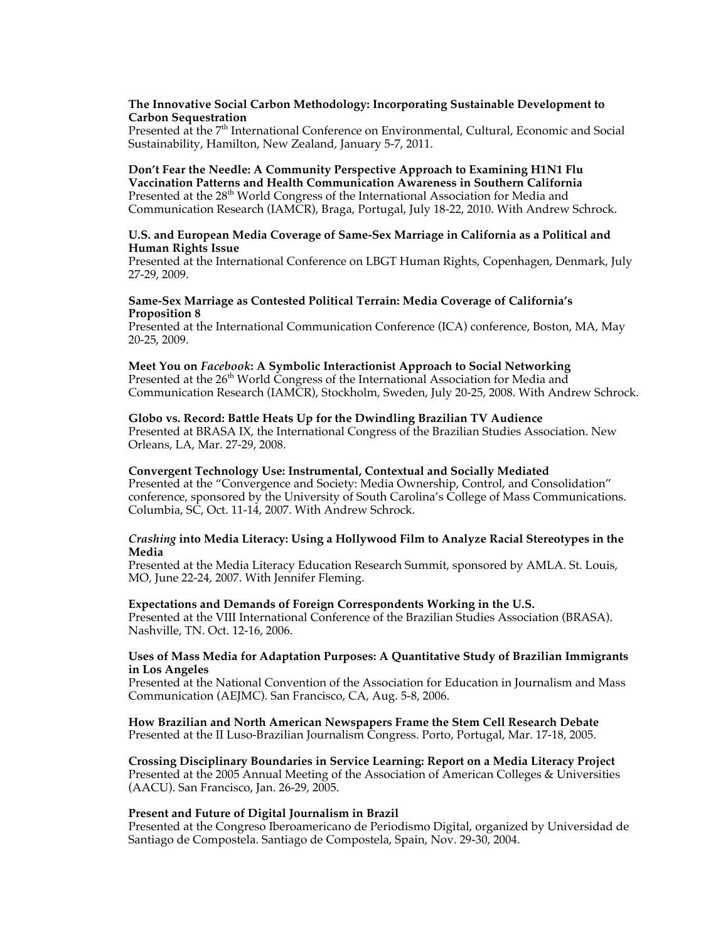#### **The Innovative Social Carbon Methodology: Incorporating Sustainable Development to Carbon Sequestration**

Presented at the 7<sup>th</sup> International Conference on Environmental, Cultural, Economic and Social Sustainability, Hamilton, New Zealand, January 5-7, 2011.

#### **Don't Fear the Needle: A Community Perspective Approach to Examining H1N1 Flu Vaccination Patterns and Health Communication Awareness in Southern California** Presented at the 28<sup>th</sup> World Congress of the International Association for Media and Communication Research (IAMCR), Braga, Portugal, July 18-22, 2010. With Andrew Schrock.

#### **U.S. and European Media Coverage of Same-Sex Marriage in California as a Political and Human Rights Issue**

Presented at the International Conference on LBGT Human Rights, Copenhagen, Denmark, July 27-29, 2009.

#### **Same-Sex Marriage as Contested Political Terrain: Media Coverage of California's Proposition 8**

Presented at the International Communication Conference (ICA) conference, Boston, MA, May 20-25, 2009.

## **Meet You on** *Facebook***: A Symbolic Interactionist Approach to Social Networking**

Presented at the 26<sup>th</sup> World Congress of the International Association for Media and Communication Research (IAMCR), Stockholm, Sweden, July 20-25, 2008. With Andrew Schrock.

## **Globo vs. Record: Battle Heats Up for the Dwindling Brazilian TV Audience**

Presented at BRASA IX, the International Congress of the Brazilian Studies Association. New Orleans, LA, Mar. 27-29, 2008.

#### **Convergent Technology Use: Instrumental, Contextual and Socially Mediated**

Presented at the "Convergence and Society: Media Ownership, Control, and Consolidation" conference, sponsored by the University of South Carolina's College of Mass Communications. Columbia, SC, Oct. 11-14, 2007. With Andrew Schrock.

#### *Crashing* **into Media Literacy: Using a Hollywood Film to Analyze Racial Stereotypes in the Media**

Presented at the Media Literacy Education Research Summit, sponsored by AMLA. St. Louis, MO, June 22-24, 2007. With Jennifer Fleming.

#### **Expectations and Demands of Foreign Correspondents Working in the U.S.**

Presented at the VIII International Conference of the Brazilian Studies Association (BRASA). Nashville, TN. Oct. 12-16, 2006.

#### **Uses of Mass Media for Adaptation Purposes: A Quantitative Study of Brazilian Immigrants in Los Angeles**

Presented at the National Convention of the Association for Education in Journalism and Mass Communication (AEJMC). San Francisco, CA, Aug. 5-8, 2006.

#### **How Brazilian and North American Newspapers Frame the Stem Cell Research Debate** Presented at the II Luso-Brazilian Journalism Congress. Porto, Portugal, Mar. 17-18, 2005.

**Crossing Disciplinary Boundaries in Service Learning: Report on a Media Literacy Project** Presented at the 2005 Annual Meeting of the Association of American Colleges & Universities (AACU). San Francisco, Jan. 26-29, 2005.

#### **Present and Future of Digital Journalism in Brazil**

Presented at the Congreso Iberoamericano de Periodismo Digital, organized by Universidad de Santiago de Compostela. Santiago de Compostela, Spain, Nov. 29-30, 2004.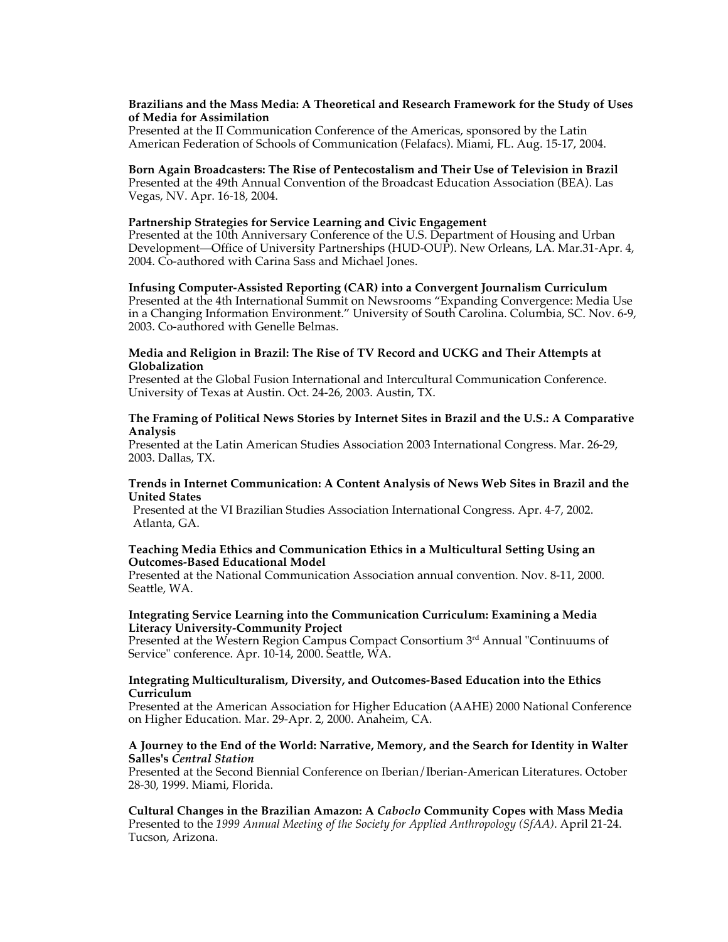#### **Brazilians and the Mass Media: A Theoretical and Research Framework for the Study of Uses of Media for Assimilation**

Presented at the II Communication Conference of the Americas, sponsored by the Latin American Federation of Schools of Communication (Felafacs). Miami, FL. Aug. 15-17, 2004.

**Born Again Broadcasters: The Rise of Pentecostalism and Their Use of Television in Brazil** Presented at the 49th Annual Convention of the Broadcast Education Association (BEA). Las Vegas, NV. Apr. 16-18, 2004.

#### **Partnership Strategies for Service Learning and Civic Engagement**

Presented at the 10th Anniversary Conference of the U.S. Department of Housing and Urban Development—Office of University Partnerships (HUD-OUP). New Orleans, LA. Mar.31-Apr. 4, 2004. Co-authored with Carina Sass and Michael Jones.

**Infusing Computer-Assisted Reporting (CAR) into a Convergent Journalism Curriculum** Presented at the 4th International Summit on Newsrooms "Expanding Convergence: Media Use in a Changing Information Environment." University of South Carolina. Columbia, SC. Nov. 6-9, 2003. Co-authored with Genelle Belmas.

#### **Media and Religion in Brazil: The Rise of TV Record and UCKG and Their Attempts at Globalization**

Presented at the Global Fusion International and Intercultural Communication Conference. University of Texas at Austin. Oct. 24-26, 2003. Austin, TX.

#### **The Framing of Political News Stories by Internet Sites in Brazil and the U.S.: A Comparative Analysis**

Presented at the Latin American Studies Association 2003 International Congress. Mar. 26-29, 2003. Dallas, TX.

#### **Trends in Internet Communication: A Content Analysis of News Web Sites in Brazil and the United States**

 Presented at the VI Brazilian Studies Association International Congress. Apr. 4-7, 2002. Atlanta, GA.

#### **Teaching Media Ethics and Communication Ethics in a Multicultural Setting Using an Outcomes-Based Educational Model**

Presented at the National Communication Association annual convention. Nov. 8-11, 2000. Seattle, WA.

#### **Integrating Service Learning into the Communication Curriculum: Examining a Media Literacy University-Community Project**

Presented at the Western Region Campus Compact Consortium 3<sup>rd</sup> Annual "Continuums of Service" conference. Apr. 10-14, 2000. Seattle, WA.

#### **Integrating Multiculturalism, Diversity, and Outcomes-Based Education into the Ethics Curriculum**

Presented at the American Association for Higher Education (AAHE) 2000 National Conference on Higher Education. Mar. 29-Apr. 2, 2000. Anaheim, CA.

#### **A Journey to the End of the World: Narrative, Memory, and the Search for Identity in Walter Salles's** *Central Station*

Presented at the Second Biennial Conference on Iberian/Iberian-American Literatures. October 28-30, 1999. Miami, Florida.

**Cultural Changes in the Brazilian Amazon: A** *Caboclo* **Community Copes with Mass Media** Presented to the *1999 Annual Meeting of the Society for Applied Anthropology (SfAA)*. April 21-24. Tucson, Arizona.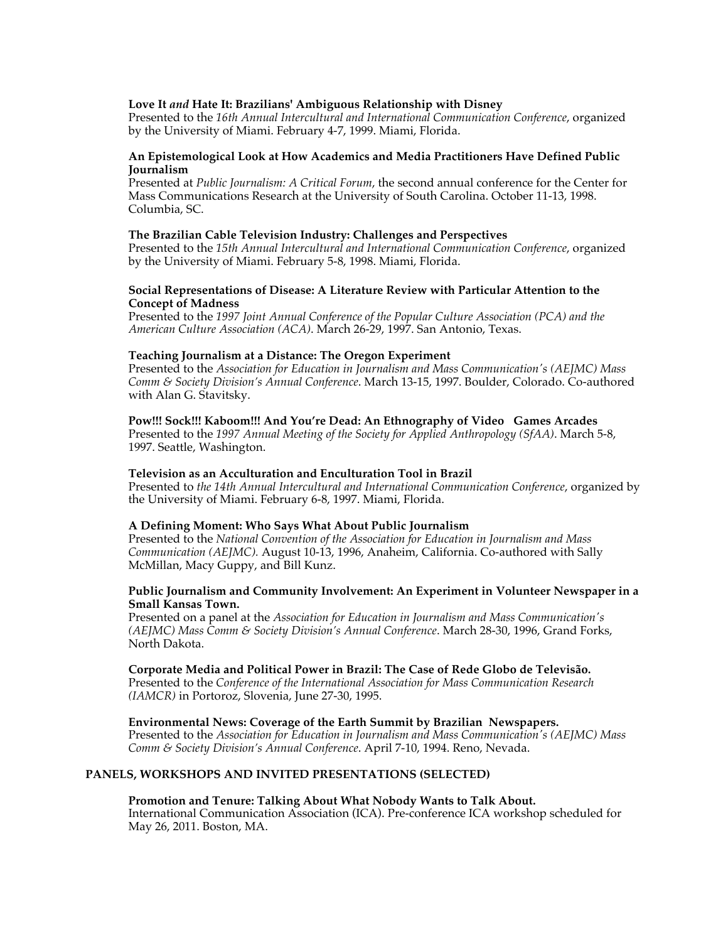#### **Love It** *and* **Hate It: Brazilians' Ambiguous Relationship with Disney**

Presented to the *16th Annual Intercultural and International Communication Conference*, organized by the University of Miami. February 4-7, 1999. Miami, Florida.

#### **An Epistemological Look at How Academics and Media Practitioners Have Defined Public Journalism**

Presented at *Public Journalism: A Critical Forum*, the second annual conference for the Center for Mass Communications Research at the University of South Carolina. October 11-13, 1998. Columbia, SC.

#### **The Brazilian Cable Television Industry: Challenges and Perspectives**

Presented to the *15th Annual Intercultural and International Communication Conference*, organized by the University of Miami. February 5-8, 1998. Miami, Florida.

#### **Social Representations of Disease: A Literature Review with Particular Attention to the Concept of Madness**

Presented to the *1997 Joint Annual Conference of the Popular Culture Association (PCA) and the American Culture Association (ACA)*. March 26-29, 1997. San Antonio, Texas.

#### **Teaching Journalism at a Distance: The Oregon Experiment**

Presented to the *Association for Education in Journalism and Mass Communication's (AEJMC) Mass Comm & Society Division's Annual Conference*. March 13-15, 1997. Boulder, Colorado. Co-authored with Alan G. Stavitsky.

**Pow!!! Sock!!! Kaboom!!! And You're Dead: An Ethnography of Video Games Arcades** Presented to the *1997 Annual Meeting of the Society for Applied Anthropology (SfAA)*. March 5-8, 1997. Seattle, Washington.

#### **Television as an Acculturation and Enculturation Tool in Brazil**

Presented to *the 14th Annual Intercultural and International Communication Conference*, organized by the University of Miami. February 6-8, 1997. Miami, Florida.

#### **A Defining Moment: Who Says What About Public Journalism**

Presented to the *National Convention of the Association for Education in Journalism and Mass Communication (AEJMC).* August 10-13, 1996, Anaheim, California. Co-authored with Sally McMillan, Macy Guppy, and Bill Kunz.

#### **Public Journalism and Community Involvement: An Experiment in Volunteer Newspaper in a Small Kansas Town.**

Presented on a panel at the *Association for Education in Journalism and Mass Communication's (AEJMC) Mass Comm & Society Division's Annual Conference*. March 28-30, 1996, Grand Forks, North Dakota.

#### **Corporate Media and Political Power in Brazil: The Case of Rede Globo de Televisão.**

Presented to the *Conference of the International Association for Mass Communication Research (IAMCR)* in Portoroz, Slovenia, June 27-30, 1995.

**Environmental News: Coverage of the Earth Summit by Brazilian Newspapers.**  Presented to the *Association for Education in Journalism and Mass Communication's (AEJMC) Mass Comm & Society Division's Annual Conference*. April 7-10, 1994. Reno, Nevada.

## **PANELS, WORKSHOPS AND INVITED PRESENTATIONS (SELECTED)**

#### **Promotion and Tenure: Talking About What Nobody Wants to Talk About.**

International Communication Association (ICA). Pre-conference ICA workshop scheduled for May 26, 2011. Boston, MA.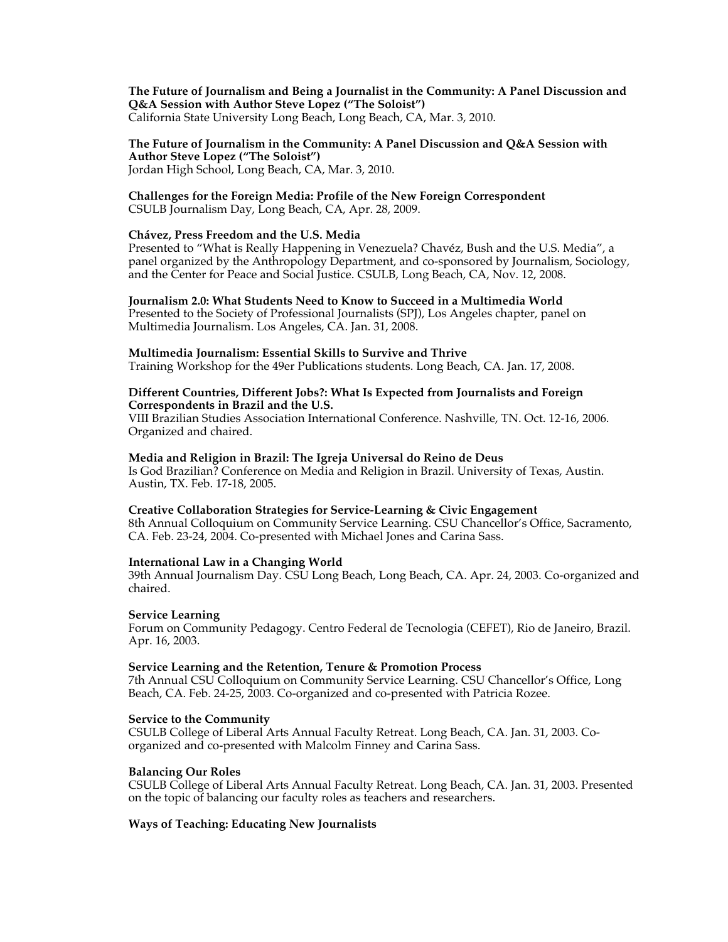**The Future of Journalism and Being a Journalist in the Community: A Panel Discussion and Q&A Session with Author Steve Lopez ("The Soloist")** California State University Long Beach, Long Beach, CA, Mar. 3, 2010.

#### **The Future of Journalism in the Community: A Panel Discussion and Q&A Session with Author Steve Lopez ("The Soloist")** Jordan High School, Long Beach, CA, Mar. 3, 2010.

#### **Challenges for the Foreign Media: Profile of the New Foreign Correspondent** CSULB Journalism Day, Long Beach, CA, Apr. 28, 2009.

#### **Chávez, Press Freedom and the U.S. Media**

Presented to "What is Really Happening in Venezuela? Chavéz, Bush and the U.S. Media", a panel organized by the Anthropology Department, and co-sponsored by Journalism, Sociology, and the Center for Peace and Social Justice. CSULB, Long Beach, CA, Nov. 12, 2008.

**Journalism 2.0: What Students Need to Know to Succeed in a Multimedia World** Presented to the Society of Professional Journalists (SPJ), Los Angeles chapter, panel on Multimedia Journalism. Los Angeles, CA. Jan. 31, 2008.

#### **Multimedia Journalism: Essential Skills to Survive and Thrive**

Training Workshop for the 49er Publications students. Long Beach, CA. Jan. 17, 2008.

#### **Different Countries, Different Jobs?: What Is Expected from Journalists and Foreign Correspondents in Brazil and the U.S.**

VIII Brazilian Studies Association International Conference. Nashville, TN. Oct. 12-16, 2006. Organized and chaired.

#### **Media and Religion in Brazil: The Igreja Universal do Reino de Deus**

Is God Brazilian? Conference on Media and Religion in Brazil. University of Texas, Austin. Austin, TX. Feb. 17-18, 2005.

#### **Creative Collaboration Strategies for Service-Learning & Civic Engagement**

8th Annual Colloquium on Community Service Learning. CSU Chancellor's Office, Sacramento, CA. Feb. 23-24, 2004. Co-presented with Michael Jones and Carina Sass.

#### **International Law in a Changing World**

39th Annual Journalism Day. CSU Long Beach, Long Beach, CA. Apr. 24, 2003. Co-organized and chaired.

## **Service Learning**

Forum on Community Pedagogy. Centro Federal de Tecnologia (CEFET), Rio de Janeiro, Brazil. Apr. 16, 2003.

#### **Service Learning and the Retention, Tenure & Promotion Process**

7th Annual CSU Colloquium on Community Service Learning. CSU Chancellor's Office, Long Beach, CA. Feb. 24-25, 2003. Co-organized and co-presented with Patricia Rozee.

#### **Service to the Community**

CSULB College of Liberal Arts Annual Faculty Retreat. Long Beach, CA. Jan. 31, 2003. Coorganized and co-presented with Malcolm Finney and Carina Sass.

#### **Balancing Our Roles**

CSULB College of Liberal Arts Annual Faculty Retreat. Long Beach, CA. Jan. 31, 2003. Presented on the topic of balancing our faculty roles as teachers and researchers.

#### **Ways of Teaching: Educating New Journalists**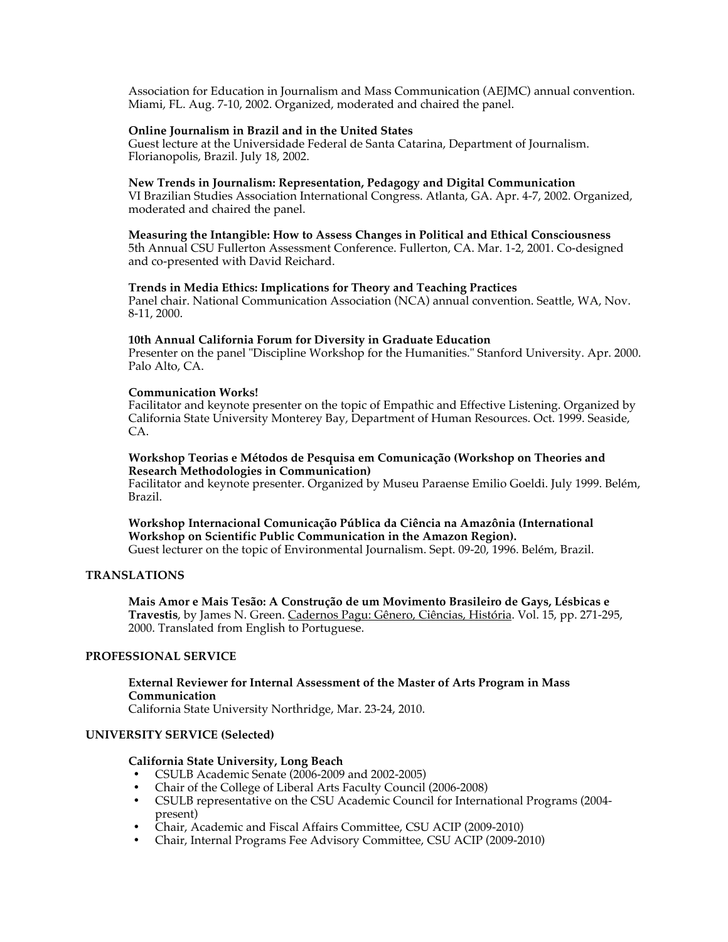Association for Education in Journalism and Mass Communication (AEJMC) annual convention. Miami, FL. Aug. 7-10, 2002. Organized, moderated and chaired the panel.

#### **Online Journalism in Brazil and in the United States**

Guest lecture at the Universidade Federal de Santa Catarina, Department of Journalism. Florianopolis, Brazil. July 18, 2002.

## **New Trends in Journalism: Representation, Pedagogy and Digital Communication**

VI Brazilian Studies Association International Congress. Atlanta, GA. Apr. 4-7, 2002. Organized, moderated and chaired the panel.

#### **Measuring the Intangible: How to Assess Changes in Political and Ethical Consciousness**

5th Annual CSU Fullerton Assessment Conference. Fullerton, CA. Mar. 1-2, 2001. Co-designed and co-presented with David Reichard.

#### **Trends in Media Ethics: Implications for Theory and Teaching Practices**

Panel chair. National Communication Association (NCA) annual convention. Seattle, WA, Nov. 8-11, 2000.

#### **10th Annual California Forum for Diversity in Graduate Education**

Presenter on the panel "Discipline Workshop for the Humanities." Stanford University. Apr. 2000. Palo Alto, CA.

#### **Communication Works!**

Facilitator and keynote presenter on the topic of Empathic and Effective Listening. Organized by California State University Monterey Bay, Department of Human Resources. Oct. 1999. Seaside, CA.

#### **Workshop Teorias e Métodos de Pesquisa em Comunicação (Workshop on Theories and Research Methodologies in Communication)**

Facilitator and keynote presenter. Organized by Museu Paraense Emilio Goeldi. July 1999. Belém, Brazil.

#### **Workshop Internacional Comunicação Pública da Ciência na Amazônia (International Workshop on Scientific Public Communication in the Amazon Region).** Guest lecturer on the topic of Environmental Journalism. Sept. 09-20, 1996. Belém, Brazil.

#### **TRANSLATIONS**

**Mais Amor e Mais Tesão: A Construção de um Movimento Brasileiro de Gays, Lésbicas e Travestis**, by James N. Green. Cadernos Pagu: Gênero, Ciências, História. Vol. 15, pp. 271-295, 2000. Translated from English to Portuguese.

#### **PROFESSIONAL SERVICE**

#### **External Reviewer for Internal Assessment of the Master of Arts Program in Mass Communication**

California State University Northridge, Mar. 23-24, 2010.

#### **UNIVERSITY SERVICE (Selected)**

#### **California State University, Long Beach**

- CSULB Academic Senate (2006-2009 and 2002-2005)
- Chair of the College of Liberal Arts Faculty Council (2006-2008)<br>• CSULB representative on the CSULA cademic Council for Interna
- CSULB representative on the CSU Academic Council for International Programs (2004 present)
- Chair, Academic and Fiscal Affairs Committee, CSU ACIP (2009-2010)
- Chair, Internal Programs Fee Advisory Committee, CSU ACIP (2009-2010)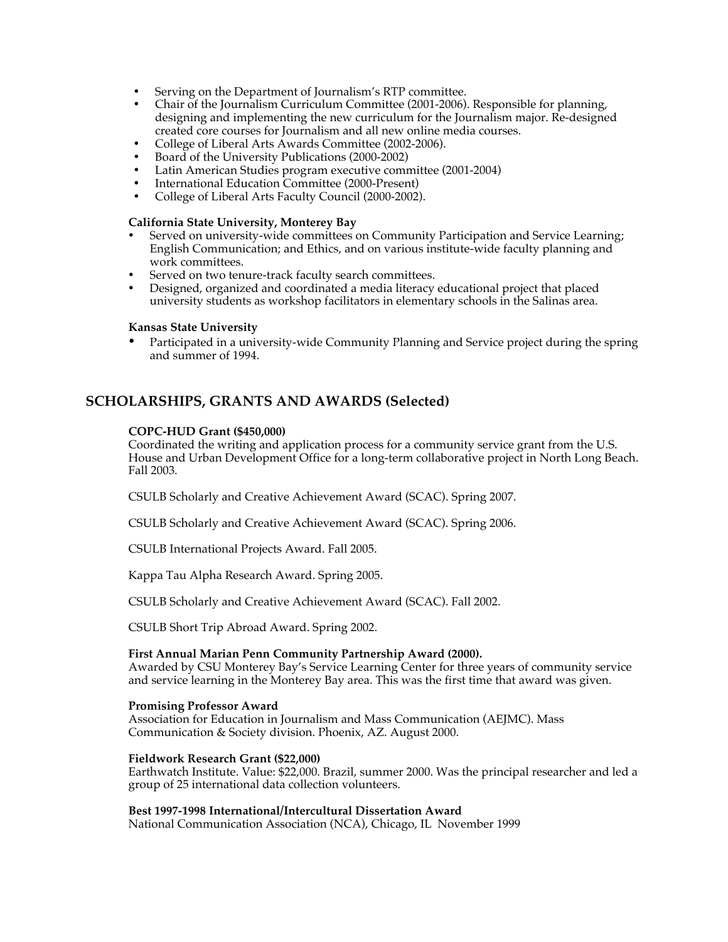- Serving on the Department of Journalism's RTP committee.
- Chair of the Journalism Curriculum Committee (2001-2006). Responsible for planning, designing and implementing the new curriculum for the Journalism major. Re-designed created core courses for Journalism and all new online media courses.
- College of Liberal Arts Awards Committee (2002-2006).
- Board of the University Publications (2000-2002)
- Latin American Studies program executive committee (2001-2004)
- International Education Committee (2000-Present)
- College of Liberal Arts Faculty Council (2000-2002).

#### **California State University, Monterey Bay**

- Served on university-wide committees on Community Participation and Service Learning; English Communication; and Ethics, and on various institute-wide faculty planning and work committees.
- Served on two tenure-track faculty search committees.
- Designed, organized and coordinated a media literacy educational project that placed university students as workshop facilitators in elementary schools in the Salinas area.

#### **Kansas State University**

• Participated in a university-wide Community Planning and Service project during the spring and summer of 1994.

## **SCHOLARSHIPS, GRANTS AND AWARDS (Selected)**

#### **COPC-HUD Grant (\$450,000)**

Coordinated the writing and application process for a community service grant from the U.S. House and Urban Development Office for a long-term collaborative project in North Long Beach. Fall 2003.

CSULB Scholarly and Creative Achievement Award (SCAC). Spring 2007.

CSULB Scholarly and Creative Achievement Award (SCAC). Spring 2006.

CSULB International Projects Award. Fall 2005.

Kappa Tau Alpha Research Award. Spring 2005.

CSULB Scholarly and Creative Achievement Award (SCAC). Fall 2002.

CSULB Short Trip Abroad Award. Spring 2002.

#### **First Annual Marian Penn Community Partnership Award (2000).**

Awarded by CSU Monterey Bay's Service Learning Center for three years of community service and service learning in the Monterey Bay area. This was the first time that award was given.

#### **Promising Professor Award**

Association for Education in Journalism and Mass Communication (AEJMC). Mass Communication & Society division. Phoenix, AZ. August 2000.

## **Fieldwork Research Grant (\$22,000)**

Earthwatch Institute. Value: \$22,000. Brazil, summer 2000. Was the principal researcher and led a group of 25 international data collection volunteers.

#### **Best 1997-1998 International/Intercultural Dissertation Award**

National Communication Association (NCA), Chicago, IL November 1999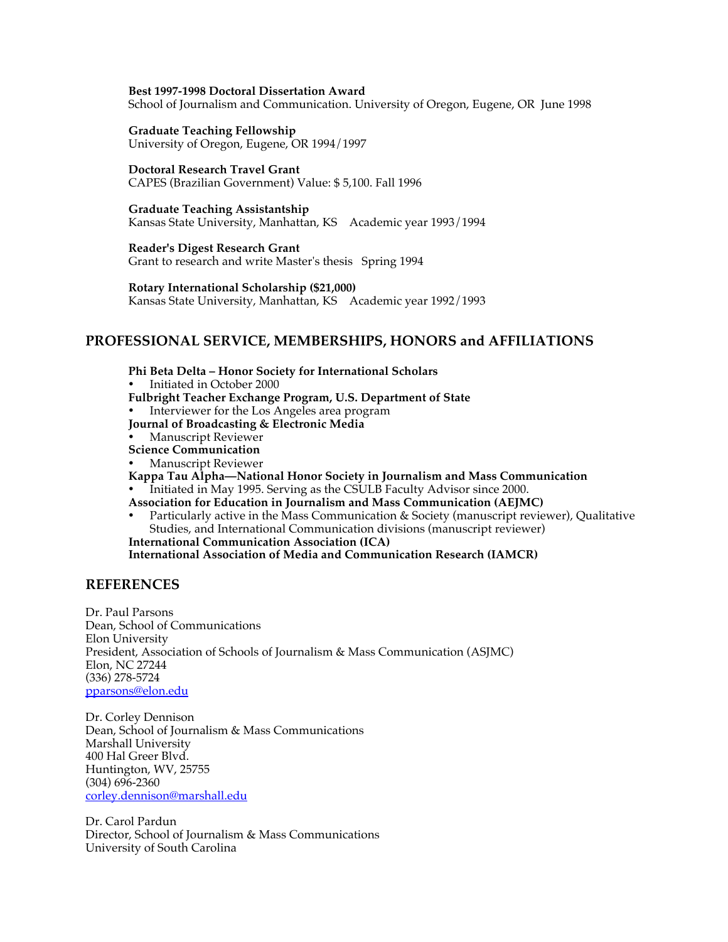#### **Best 1997-1998 Doctoral Dissertation Award**

School of Journalism and Communication. University of Oregon, Eugene, OR June 1998

## **Graduate Teaching Fellowship**

University of Oregon, Eugene, OR 1994/1997

## **Doctoral Research Travel Grant**

CAPES (Brazilian Government) Value: \$ 5,100. Fall 1996

#### **Graduate Teaching Assistantship**

Kansas State University, Manhattan, KS Academic year 1993/1994

## **Reader's Digest Research Grant**

Grant to research and write Master's thesis Spring 1994

#### **Rotary International Scholarship (\$21,000)**

Kansas State University, Manhattan, KS Academic year 1992/1993

## **PROFESSIONAL SERVICE, MEMBERSHIPS, HONORS and AFFILIATIONS**

- **Phi Beta Delta Honor Society for International Scholars**
- Initiated in October 2000
- **Fulbright Teacher Exchange Program, U.S. Department of State**
- Interviewer for the Los Angeles area program
- **Journal of Broadcasting & Electronic Media**
- Manuscript Reviewer
- **Science Communication**
- Manuscript Reviewer
- **Kappa Tau Alpha—National Honor Society in Journalism and Mass Communication** Initiated in May 1995. Serving as the CSULB Faculty Advisor since 2000.
- **Association for Education in Journalism and Mass Communication (AEJMC)**
- Particularly active in the Mass Communication & Society (manuscript reviewer), Qualitative Studies, and International Communication divisions (manuscript reviewer) **International Communication Association (ICA)**

**International Association of Media and Communication Research (IAMCR)**

## **REFERENCES**

Dr. Paul Parsons Dean, School of Communications Elon University President, Association of Schools of Journalism & Mass Communication (ASJMC) Elon, NC 27244 (336) 278-5724 pparsons@elon.edu

Dr. Corley Dennison Dean, School of Journalism & Mass Communications Marshall University 400 Hal Greer Blvd. Huntington, WV, 25755 (304) 696-2360 corley.dennison@marshall.edu

Dr. Carol Pardun Director, School of Journalism & Mass Communications University of South Carolina